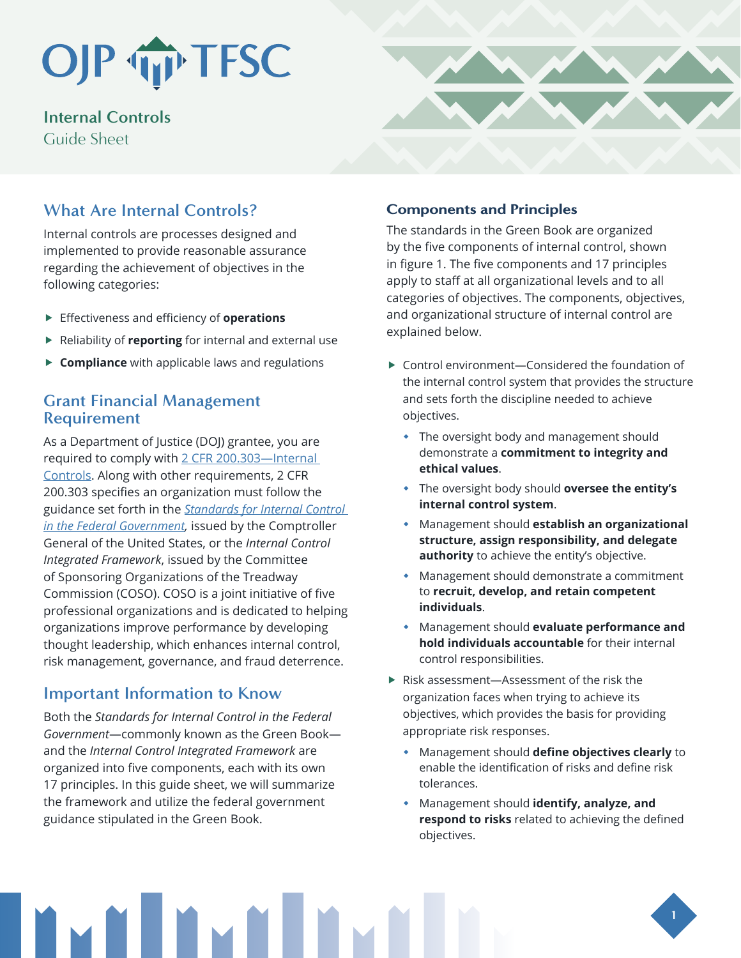## OJP TP TFSC

**Internal Controls** Guide Sheet

## **What Are Internal Controls?**

Internal controls are processes designed and implemented to provide reasonable assurance regarding the achievement of objectives in the following categories:

- **F** Effectiveness and efficiency of **operations**
- **Fig. 2** Reliability of **reporting** for internal and external use
- **F** Compliance with applicable laws and regulations

## **Grant Financial Management Requirement**

As a Department of Justice (DOJ) grantee, you are required to comply with [2 CFR 200.303—Internal](https://www.ecfr.gov/current/title-2/subtitle-A/chapter-II/part-200/subpart-D/section-200.303)  [Controls](https://www.ecfr.gov/current/title-2/subtitle-A/chapter-II/part-200/subpart-D/section-200.303). Along with other requirements, 2 CFR 200.303 specifies an organization must follow the guidance set forth in the *[Standards for Internal Control](https://www.gao.gov/assets/gao-14-704g.pdf)  [in the Federal Government,](https://www.gao.gov/assets/gao-14-704g.pdf)* issued by the Comptroller General of the United States, or the *Internal Control Integrated Framework*, issued by the Committee of Sponsoring Organizations of the Treadway Commission (COSO). COSO is a joint initiative of five professional organizations and is dedicated to helping organizations improve performance by developing thought leadership, which enhances internal control, risk management, governance, and fraud deterrence.

## **Important Information to Know**

Both the *Standards for Internal Control in the Federal Government*—commonly known as the Green Book and the *Internal Control Integrated Framework* are organized into five components, each with its own 17 principles. In this guide sheet, we will summarize the framework and utilize the federal government guidance stipulated in the Green Book.



### Components and Principles

The standards in the Green Book are organized by the five components of internal control, shown in figure 1. The five components and 17 principles apply to staff at all organizational levels and to all categories of objectives. The components, objectives, and organizational structure of internal control are explained below.

- $\triangleright$  Control environment—Considered the foundation of the internal control system that provides the structure and sets forth the discipline needed to achieve objectives.
	- The oversight body and management should demonstrate a **commitment to integrity and ethical values**.
	- The oversight body should **oversee the entity's internal control system**.
	- Management should **establish an organizational structure, assign responsibility, and delegate authority** to achieve the entity's objective.
	- Management should demonstrate a commitment to **recruit, develop, and retain competent individuals**.
	- Management should **evaluate performance and hold individuals accountable** for their internal control responsibilities.
- $\blacktriangleright$  Risk assessment—Assessment of the risk the organization faces when trying to achieve its objectives, which provides the basis for providing appropriate risk responses.
	- Management should **define objectives clearly** to enable the identification of risks and define risk tolerances.
	- Management should **identify, analyze, and respond to risks** related to achieving the defined objectives.

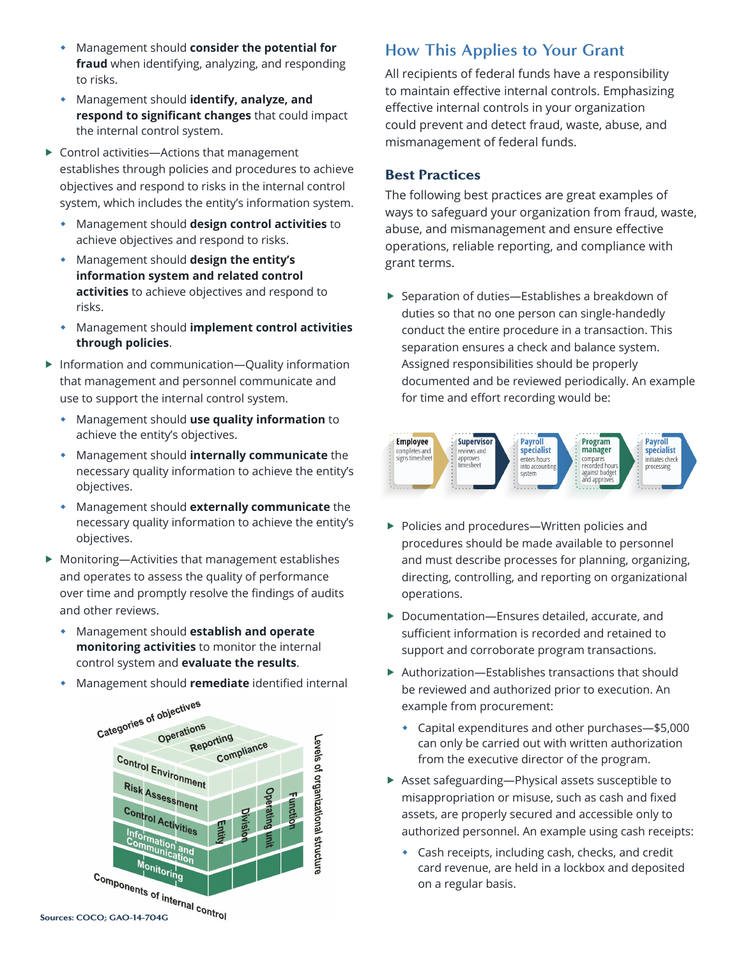- Management should **consider the potential for fraud** when identifying, analyzing, and responding to risks.
- Management should **identify, analyze, and respond to significant changes** that could impact the internal control system.
- $\triangleright$  Control activities—Actions that management establishes through policies and procedures to achieve objectives and respond to risks in the internal control system, which includes the entity's information system.
	- Management should **design control activities** to achieve objectives and respond to risks.
	- Management should **design the entity's information system and related control activities** to achieve objectives and respond to risks.
	- Management should **implement control activities through policies**.
- $\blacktriangleright$  Information and communication—Quality information that management and personnel communicate and use to support the internal control system.
	- Management should **use quality information** to achieve the entity's objectives.
	- Management should **internally communicate** the necessary quality information to achieve the entity's objectives.
	- Management should **externally communicate** the necessary quality information to achieve the entity's objectives.
- $\blacktriangleright$  Monitoring—Activities that management establishes and operates to assess the quality of performance over time and promptly resolve the findings of audits and other reviews.
	- Management should **establish and operate monitoring activities** to monitor the internal control system and **evaluate the results**.
	- Management should **remediate** identified internal



## **How This Applies to Your Grant**

All recipients of federal funds have a responsibility to maintain effective internal controls. Emphasizing effective internal controls in your organization could prevent and detect fraud, waste, abuse, and mismanagement of federal funds.

#### Best Practices

The following best practices are great examples of ways to safeguard your organization from fraud, waste, abuse, and mismanagement and ensure effective operations, reliable reporting, and compliance with grant terms.

 $\blacktriangleright$  Separation of duties—Establishes a breakdown of duties so that no one person can single-handedly conduct the entire procedure in a transaction. This separation ensures a check and balance system. Assigned responsibilities should be properly documented and be reviewed periodically. An example for time and effort recording would be:



- $\blacktriangleright$  Policies and procedures—Written policies and procedures should be made available to personnel and must describe processes for planning, organizing, directing, controlling, and reporting on organizational operations.
- $\triangleright$  Documentation—Ensures detailed, accurate, and sufficient information is recorded and retained to support and corroborate program transactions.
- $\blacktriangleright$  Authorization—Establishes transactions that should be reviewed and authorized prior to execution. An example from procurement:
	- Capital expenditures and other purchases—\$5,000 can only be carried out with written authorization from the executive director of the program.
- $\blacktriangleright$  Asset safeguarding—Physical assets susceptible to misappropriation or misuse, such as cash and fixed assets, are properly secured and accessible only to authorized personnel. An example using cash receipts:
	- Cash receipts, including cash, checks, and credit card revenue, are held in a lockbox and deposited on a regular basis.